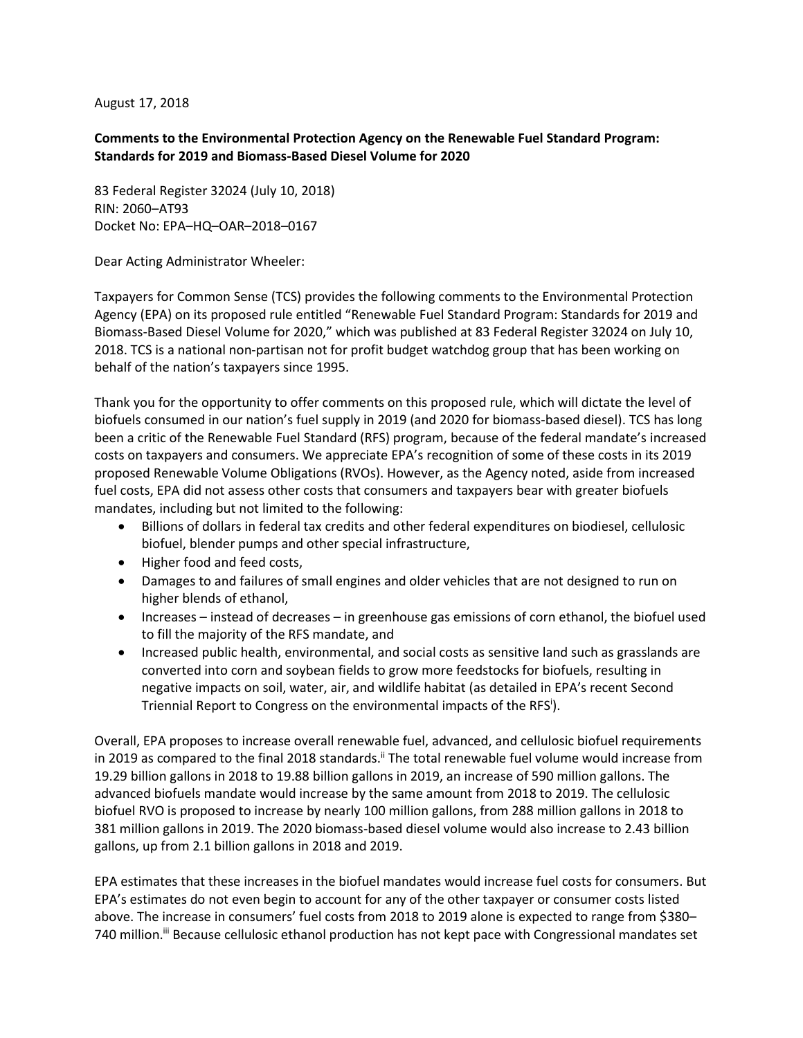August 17, 2018

## **Comments to the Environmental Protection Agency on the Renewable Fuel Standard Program: Standards for 2019 and Biomass-Based Diesel Volume for 2020**

83 Federal Register 32024 (July 10, 2018) RIN: 2060–AT93 Docket No: EPA–HQ–OAR–2018–0167

Dear Acting Administrator Wheeler:

Taxpayers for Common Sense (TCS) provides the following comments to the Environmental Protection Agency (EPA) on its proposed rule entitled "Renewable Fuel Standard Program: Standards for 2019 and Biomass-Based Diesel Volume for 2020," which was published at 83 Federal Register 32024 on July 10, 2018. TCS is a national non-partisan not for profit budget watchdog group that has been working on behalf of the nation's taxpayers since 1995.

Thank you for the opportunity to offer comments on this proposed rule, which will dictate the level of biofuels consumed in our nation's fuel supply in 2019 (and 2020 for biomass-based diesel). TCS has long been a critic of the Renewable Fuel Standard (RFS) program, because of the federal mandate's increased costs on taxpayers and consumers. We appreciate EPA's recognition of some of these costs in its 2019 proposed Renewable Volume Obligations (RVOs). However, as the Agency noted, aside from increased fuel costs, EPA did not assess other costs that consumers and taxpayers bear with greater biofuels mandates, including but not limited to the following:

- Billions of dollars in federal tax credits and other federal expenditures on biodiesel, cellulosic biofuel, blender pumps and other special infrastructure,
- Higher food and feed costs,
- Damages to and failures of small engines and older vehicles that are not designed to run on higher blends of ethanol,
- Increases instead of decreases in greenhouse gas emissions of corn ethanol, the biofuel used to fill the majority of the RFS mandate, and
- Increased public health, environmental, and social costs as sensitive land such as grasslands are converted into corn and soybean fields to grow more feedstocks for biofuels, resulting in negative impacts on soil, water, air, and wildlife habitat (as detailed in EPA's recent Second Triennial Report to Congress on the environmental impacts of the RFS<sup>i</sup>).

Overall, EPA proposes to increase overall renewable fuel, advanced, and cellulosic biofuel requirements in 2019 as compared to the final 2018 standards.<sup>ii</sup> The total renewable fuel volume would increase from 19.29 billion gallons in 2018 to 19.88 billion gallons in 2019, an increase of 590 million gallons. The advanced biofuels mandate would increase by the same amount from 2018 to 2019. The cellulosic biofuel RVO is proposed to increase by nearly 100 million gallons, from 288 million gallons in 2018 to 381 million gallons in 2019. The 2020 biomass-based diesel volume would also increase to 2.43 billion gallons, up from 2.1 billion gallons in 2018 and 2019.

EPA estimates that these increases in the biofuel mandates would increase fuel costs for consumers. But EPA's estimates do not even begin to account for any of the other taxpayer or consumer costs listed above. The increase in consumers' fuel costs from 2018 to 2019 alone is expected to range from \$380– 740 million.<sup>ii</sup> Because cellulosic ethanol production has not kept pace with Congressional mandates set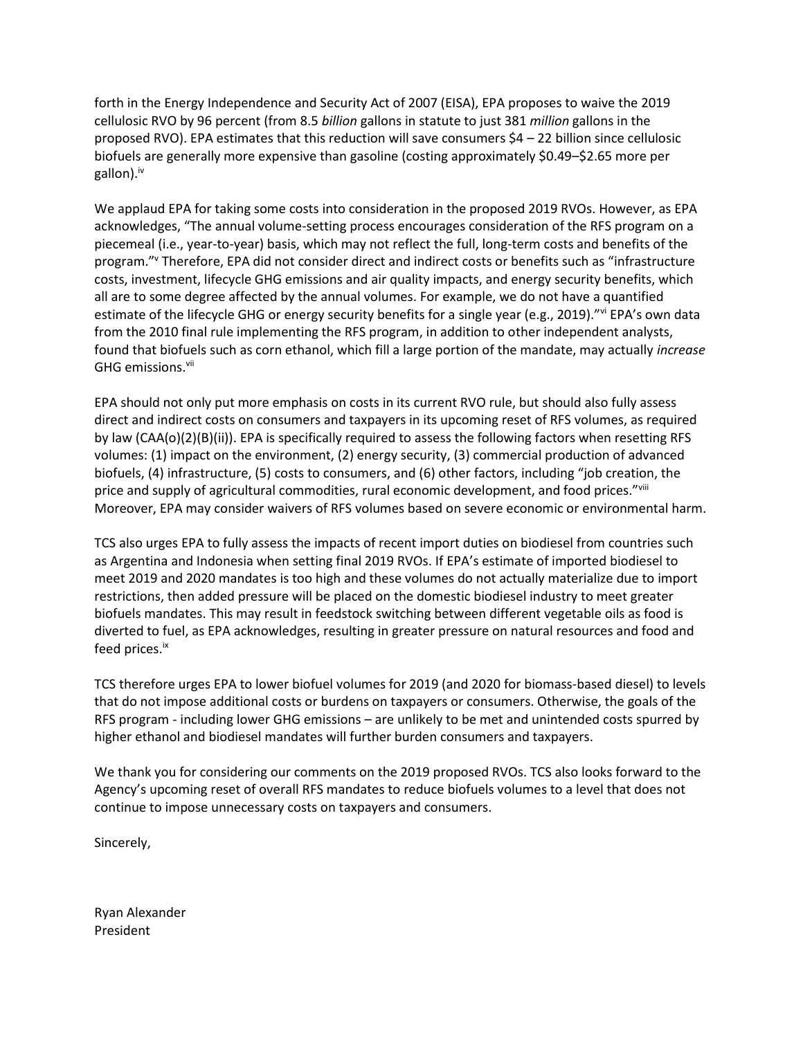forth in the Energy Independence and Security Act of 2007 (EISA), EPA proposes to waive the 2019 cellulosic RVO by 96 percent (from 8.5 *billion* gallons in statute to just 381 *million* gallons in the proposed RVO). EPA estimates that this reduction will save consumers  $$4 - 22$  billion since cellulosic biofuels are generally more expensive than gasoline (costing approximately \$0.49–\$2.65 more per gallon). $iv$ 

We applaud EPA for taking some costs into consideration in the proposed 2019 RVOs. However, as EPA acknowledges, "The annual volume-setting process encourages consideration of the RFS program on a piecemeal (i.e., year-to-year) basis, which may not reflect the full, long-term costs and benefits of the program."<sup>v</sup> Therefore, EPA did not consider direct and indirect costs or benefits such as "infrastructure costs, investment, lifecycle GHG emissions and air quality impacts, and energy security benefits, which all are to some degree affected by the annual volumes. For example, we do not have a quantified estimate of the lifecycle GHG or energy security benefits for a single year (e.g., 2019)."vi EPA's own data from the 2010 final rule implementing the RFS program, in addition to other independent analysts, found that biofuels such as corn ethanol, which fill a large portion of the mandate, may actually *increase* GHG emissions.<sup>vii</sup>

EPA should not only put more emphasis on costs in its current RVO rule, but should also fully assess direct and indirect costs on consumers and taxpayers in its upcoming reset of RFS volumes, as required by law (CAA(o)(2)(B)(ii)). EPA is specifically required to assess the following factors when resetting RFS volumes: (1) impact on the environment, (2) energy security, (3) commercial production of advanced biofuels, (4) infrastructure, (5) costs to consumers, and (6) other factors, including "job creation, the price and supply of agricultural commodities, rural economic development, and food prices."Vili Moreover, EPA may consider waivers of RFS volumes based on severe economic or environmental harm.

TCS also urges EPA to fully assess the impacts of recent import duties on biodiesel from countries such as Argentina and Indonesia when setting final 2019 RVOs. If EPA's estimate of imported biodiesel to meet 2019 and 2020 mandates is too high and these volumes do not actually materialize due to import restrictions, then added pressure will be placed on the domestic biodiesel industry to meet greater biofuels mandates. This may result in feedstock switching between different vegetable oils as food is diverted to fuel, as EPA acknowledges, resulting in greater pressure on natural resources and food and feed prices.<sup>ix</sup>

TCS therefore urges EPA to lower biofuel volumes for 2019 (and 2020 for biomass-based diesel) to levels that do not impose additional costs or burdens on taxpayers or consumers. Otherwise, the goals of the RFS program - including lower GHG emissions – are unlikely to be met and unintended costs spurred by higher ethanol and biodiesel mandates will further burden consumers and taxpayers.

We thank you for considering our comments on the 2019 proposed RVOs. TCS also looks forward to the Agency's upcoming reset of overall RFS mandates to reduce biofuels volumes to a level that does not continue to impose unnecessary costs on taxpayers and consumers.

Sincerely,

Ryan Alexander President